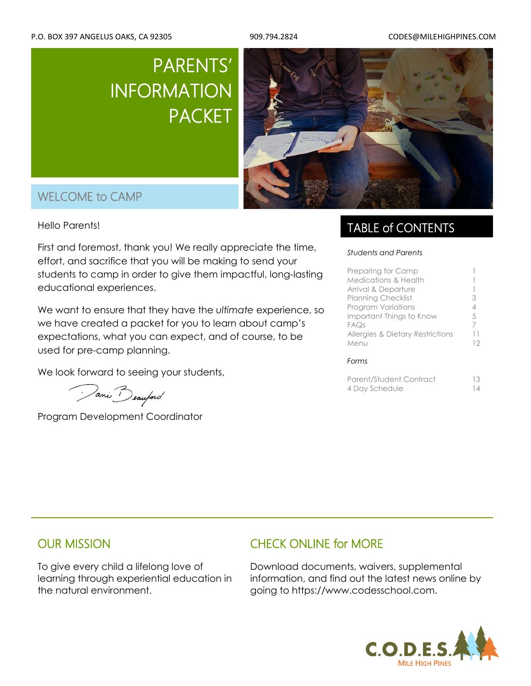# PARENTS' INFORMATION PACKET



# WELCOME to CAMP

**Hello Parents!** 

First and foremost, thank you! We really appreciate the time, effort, and sacrifice that you will be making to send your students to camp in order to give them impactful, long-lasting educational experiences.

We want to ensure that they have the *ultimate* experience, so we have created a packet for you to learn about camp's expectations, what you can expect, and of course, to be used for pre-camp planning.

We look forward to seeing your students,

Pani Beauford

Program Development Coordinator

### TABLE of CONTENTS

#### *Students and Parents*

| Preparing for Camp                          |    |
|---------------------------------------------|----|
| <b>Medications &amp; Health</b>             |    |
| Arrival & Departure                         |    |
| <b>Planning Checklist</b>                   | 3  |
| <b>Program Variations</b>                   | 4  |
| Important Things to Know                    | 5  |
| FAQs                                        | 7  |
| <b>Allergies &amp; Dietary Restrictions</b> |    |
| Menu                                        | 12 |
| Forms                                       |    |

| Parent/Student Contract | 13 |
|-------------------------|----|
| 4 Day Schedule          | 14 |

### OUR MISSION

To give every child a lifelong love of learning through experiential education in the natural environment.

### CHECK ONLINE for MORE

Download documents, waivers, supplemental information, and find out the latest news online by going to https://www.codesschool.com.

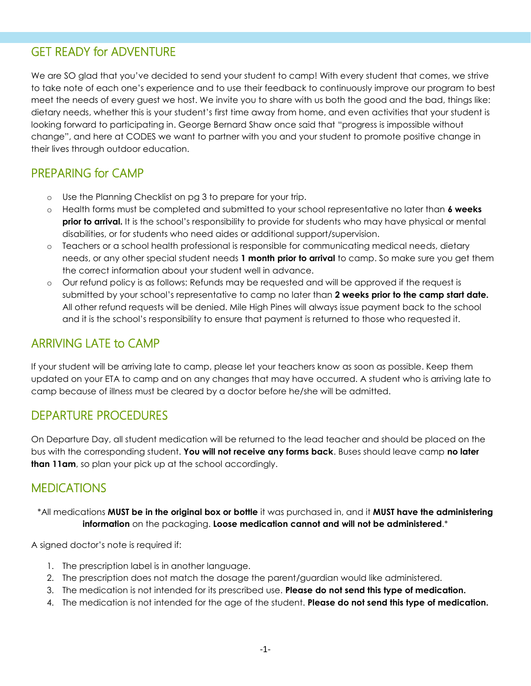## GET READY for ADVENTURE

We are SO glad that you've decided to send your student to camp! With every student that comes, we strive to take note of each one's experience and to use their feedback to continuously improve our program to best meet the needs of every guest we host. We invite you to share with us both the good and the bad, things like: dietary needs, whether this is your student's first time away from home, and even activities that your student is looking forward to participating in. George Bernard Shaw once said that "progress is impossible without change", and here at CODES we want to partner with you and your student to promote positive change in their lives through outdoor education.

### PREPARING for CAMP

- o Use the Planning Checklist on pg 3 to prepare for your trip.
- o Health forms must be completed and submitted to your school representative no later than **6 weeks prior to arrival.** It is the school's responsibility to provide for students who may have physical or mental disabilities, or for students who need aides or additional support/supervision.
- o Teachers or a school health professional is responsible for communicating medical needs, dietary needs, or any other special student needs **1 month prior to arrival** to camp. So make sure you get them the correct information about your student well in advance.
- o Our refund policy is as follows: Refunds may be requested and will be approved if the request is submitted by your school's representative to camp no later than **2 weeks prior to the camp start date.** All other refund requests will be denied. Mile High Pines will always issue payment back to the school and it is the school's responsibility to ensure that payment is returned to those who requested it.

### ARRIVING LATE to CAMP

If your student will be arriving late to camp, please let your teachers know as soon as possible. Keep them updated on your ETA to camp and on any changes that may have occurred. A student who is arriving late to camp because of illness must be cleared by a doctor before he/she will be admitted.

### DEPARTURE PROCEDURES

On Departure Day, all student medication will be returned to the lead teacher and should be placed on the bus with the corresponding student. **You will not receive any forms back**. Buses should leave camp **no later than 11am**, so plan your pick up at the school accordingly.

### MEDICATIONS

#### \*All medications **MUST be in the original box or bottle** it was purchased in, and it **MUST have the administering information** on the packaging. **Loose medication cannot and will not be administered**.\*

A signed doctor's note is required if:

- 1. The prescription label is in another language.
- 2. The prescription does not match the dosage the parent/guardian would like administered.
- 3. The medication is not intended for its prescribed use. **Please do not send this type of medication.**
- 4. The medication is not intended for the age of the student. **Please do not send this type of medication.**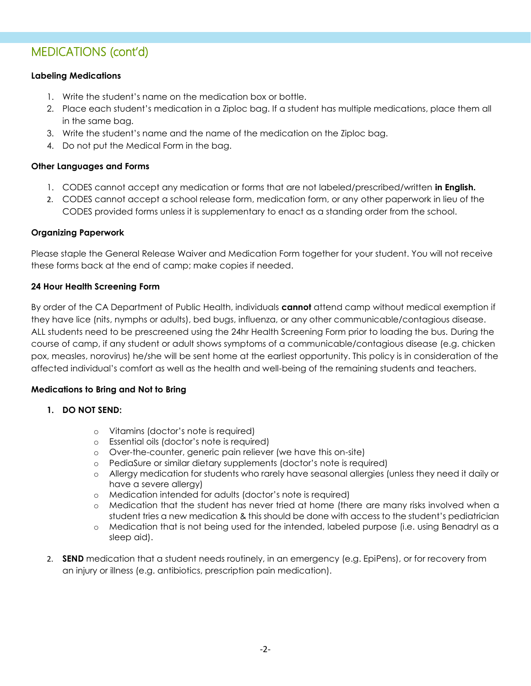## MEDICATIONS (cont'd)

#### **Labeling Medications**

- 1. Write the student's name on the medication box or bottle.
- 2. Place each student's medication in a Ziploc bag. If a student has multiple medications, place them all in the same bag.
- 3. Write the student's name and the name of the medication on the Ziploc bag.
- 4. Do not put the Medical Form in the bag.

#### **Other Languages and Forms**

- 1. CODES cannot accept any medication or forms that are not labeled/prescribed/written **in English.**
- 2. CODES cannot accept a school release form, medication form, or any other paperwork in lieu of the CODES provided forms unless it is supplementary to enact as a standing order from the school.

#### **Organizing Paperwork**

Please staple the General Release Waiver and Medication Form together for your student. You will not receive these forms back at the end of camp; make copies if needed.

#### **24 Hour Health Screening Form**

By order of the CA Department of Public Health, individuals **cannot** attend camp without medical exemption if they have lice (nits, nymphs or adults), bed bugs, influenza, or any other communicable/contagious disease. ALL students need to be prescreened using the 24hr Health Screening Form prior to loading the bus. During the course of camp, if any student or adult shows symptoms of a communicable/contagious disease (e.g. chicken pox, measles, norovirus) he/she will be sent home at the earliest opportunity. This policy is in consideration of the affected individual's comfort as well as the health and well-being of the remaining students and teachers.

#### **Medications to Bring and Not to Bring**

- **1. DO NOT SEND:**
	- o Vitamins (doctor's note is required)
	- o Essential oils (doctor's note is required)
	- o Over-the-counter, generic pain reliever (we have this on-site)
	- o PediaSure or similar dietary supplements (doctor's note is required)
	- o Allergy medication for students who rarely have seasonal allergies (unless they need it daily or have a severe allergy)
	- o Medication intended for adults (doctor's note is required)
	- o Medication that the student has never tried at home (there are many risks involved when a student tries a new medication & this should be done with access to the student's pediatrician
	- o Medication that is not being used for the intended, labeled purpose (i.e. using Benadryl as a sleep aid).
- 2. **SEND** medication that a student needs routinely, in an emergency (e.g. EpiPens), or for recovery from an injury or illness (e.g. antibiotics, prescription pain medication).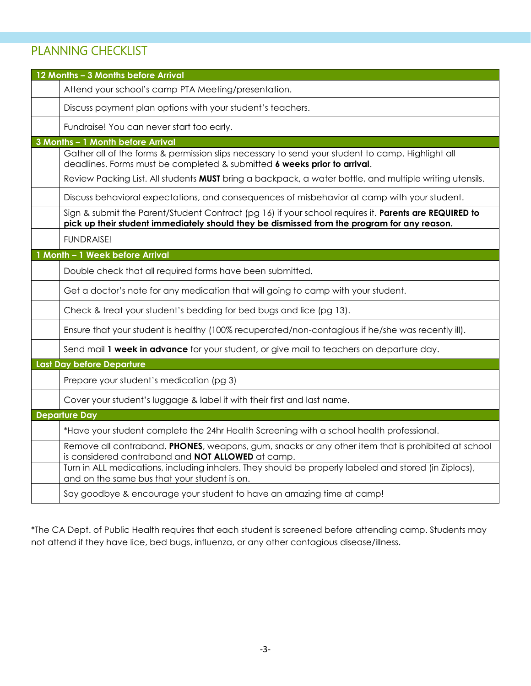# PLANNING CHECKLIST

| 12 Months - 3 Months before Arrival                                                                                                                                                                  |
|------------------------------------------------------------------------------------------------------------------------------------------------------------------------------------------------------|
| Attend your school's camp PTA Meeting/presentation.                                                                                                                                                  |
| Discuss payment plan options with your student's teachers.                                                                                                                                           |
| Fundraise! You can never start too early.                                                                                                                                                            |
| 3 Months - 1 Month before Arrival                                                                                                                                                                    |
| Gather all of the forms & permission slips necessary to send your student to camp. Highlight all<br>deadlines. Forms must be completed & submitted 6 weeks prior to arrival.                         |
| Review Packing List. All students MUST bring a backpack, a water bottle, and multiple writing utensils.                                                                                              |
| Discuss behavioral expectations, and consequences of misbehavior at camp with your student.                                                                                                          |
| Sign & submit the Parent/Student Contract (pg 16) if your school requires it. Parents are REQUIRED to<br>pick up their student immediately should they be dismissed from the program for any reason. |
| <b>FUNDRAISE!</b>                                                                                                                                                                                    |
| 1 Month - 1 Week before Arrival                                                                                                                                                                      |
| Double check that all required forms have been submitted.                                                                                                                                            |
| Get a doctor's note for any medication that will going to camp with your student.                                                                                                                    |
| Check & treat your student's bedding for bed bugs and lice (pg 13).                                                                                                                                  |
| Ensure that your student is healthy (100% recuperated/non-contagious if he/she was recently ill).                                                                                                    |
| Send mail 1 week in advance for your student, or give mail to teachers on departure day.                                                                                                             |
| Last Day before Departure                                                                                                                                                                            |
| Prepare your student's medication (pg 3)                                                                                                                                                             |
| Cover your student's luggage & label it with their first and last name.                                                                                                                              |
| <b>Departure Day</b>                                                                                                                                                                                 |
| *Have your student complete the 24hr Health Screening with a school health professional.                                                                                                             |
| Remove all contraband. PHONES, weapons, gum, snacks or any other item that is prohibited at school<br>is considered contraband and NOT ALLOWED at camp.                                              |
| Turn in ALL medications, including inhalers. They should be properly labeled and stored (in Ziplocs),<br>and on the same bus that your student is on.                                                |
| Say goodbye & encourage your student to have an amazing time at camp!                                                                                                                                |

\*The CA Dept. of Public Health requires that each student is screened before attending camp. Students may not attend if they have lice, bed bugs, influenza, or any other contagious disease/illness.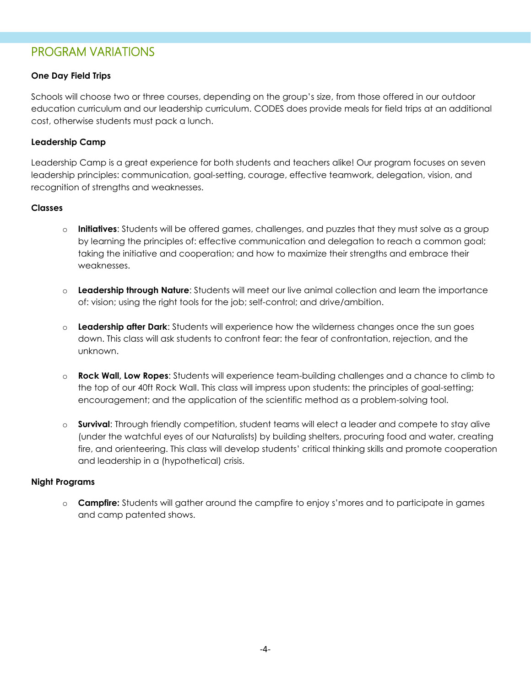### PROGRAM VARIATIONS

#### **One Day Field Trips**

Schools will choose two or three courses, depending on the group's size, from those offered in our outdoor education curriculum and our leadership curriculum. CODES does provide meals for field trips at an additional cost, otherwise students must pack a lunch.

#### **Leadership Camp**

Leadership Camp is a great experience for both students and teachers alike! Our program focuses on seven leadership principles: communication, goal-setting, courage, effective teamwork, delegation, vision, and recognition of strengths and weaknesses.

#### **Classes**

- o **Initiatives**: Students will be offered games, challenges, and puzzles that they must solve as a group by learning the principles of: effective communication and delegation to reach a common goal; taking the initiative and cooperation; and how to maximize their strengths and embrace their weaknesses.
- o **Leadership through Nature**: Students will meet our live animal collection and learn the importance of: vision; using the right tools for the job; self-control; and drive/ambition.
- o **Leadership after Dark**: Students will experience how the wilderness changes once the sun goes down. This class will ask students to confront fear: the fear of confrontation, rejection, and the unknown.
- o **Rock Wall, Low Ropes**: Students will experience team-building challenges and a chance to climb to the top of our 40ft Rock Wall. This class will impress upon students: the principles of goal-setting; encouragement; and the application of the scientific method as a problem-solving tool.
- o **Survival**: Through friendly competition, student teams will elect a leader and compete to stay alive (under the watchful eyes of our Naturalists) by building shelters, procuring food and water, creating fire, and orienteering. This class will develop students' critical thinking skills and promote cooperation and leadership in a (hypothetical) crisis.

#### **Night Programs**

o **Campfire:** Students will gather around the campfire to enjoy s'mores and to participate in games and camp patented shows.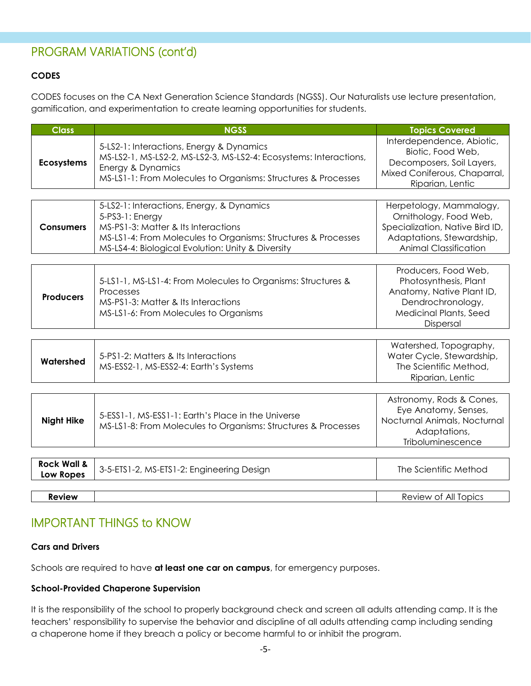## PROGRAM VARIATIONS (cont'd)

#### **CODES**

CODES focuses on the CA Next Generation Science Standards (NGSS). Our Naturalists use lecture presentation, gamification, and experimentation to create learning opportunities for students.

| <b>Class</b>      | <b>NGSS</b>                                                                                                                                                                                                               | <b>Topics Covered</b>                                                                                                                             |
|-------------------|---------------------------------------------------------------------------------------------------------------------------------------------------------------------------------------------------------------------------|---------------------------------------------------------------------------------------------------------------------------------------------------|
| <b>Ecosystems</b> | 5-LS2-1: Interactions, Energy & Dynamics<br>MS-LS2-1, MS-LS2-2, MS-LS2-3, MS-LS2-4: Ecosystems: Interactions,<br>Energy & Dynamics<br>MS-LS1-1: From Molecules to Organisms: Structures & Processes                       | Interdependence, Abiotic,<br>Biotic, Food Web,<br>Decomposers, Soil Layers,<br>Mixed Coniferous, Chaparral,<br>Riparian, Lentic                   |
| <b>Consumers</b>  | 5-LS2-1: Interactions, Energy, & Dynamics<br>5-PS3-1: Energy<br>MS-PS1-3: Matter & Its Interactions<br>MS-LS1-4: From Molecules to Organisms: Structures & Processes<br>MS-LS4-4: Biological Evolution: Unity & Diversity | Herpetology, Mammalogy,<br>Ornithology, Food Web,<br>Specialization, Native Bird ID,<br>Adaptations, Stewardship,<br><b>Animal Classification</b> |

|                  |                                                              | Producers, Food Web,          |
|------------------|--------------------------------------------------------------|-------------------------------|
|                  | 5-LS1-1, MS-LS1-4: From Molecules to Organisms: Structures & | Photosynthesis, Plant         |
|                  | Processes                                                    | Anatomy, Native Plant ID,     |
| <b>Producers</b> | MS-PS1-3: Matter & Its Interactions                          | Dendrochronology,             |
|                  | MS-LS1-6: From Molecules to Organisms                        | <b>Medicinal Plants, Seed</b> |
|                  |                                                              | <b>Dispersal</b>              |

|           |                                       | Watershed, Topography,    |
|-----------|---------------------------------------|---------------------------|
| Watershed | 5-PS1-2: Matters & Its Interactions   | Water Cycle, Stewardship, |
|           | MS-ESS2-1, MS-ESS2-4: Earth's Systems | The Scientific Method,    |
|           |                                       | Riparian, Lentic          |

| <b>Night Hike</b>      | 5-ESS1-1, MS-ESS1-1: Earth's Place in the Universe<br>MS-LS1-8: From Molecules to Organisms: Structures & Processes | Astronomy, Rods & Cones,<br>Eye Anatomy, Senses,<br>Nocturnal Animals, Nocturnal<br>Adaptations,<br>Triboluminescence |
|------------------------|---------------------------------------------------------------------------------------------------------------------|-----------------------------------------------------------------------------------------------------------------------|
|                        |                                                                                                                     |                                                                                                                       |
| <b>Rock Wall &amp;</b> | $2F$ $\Gamma$ $\Gamma$ TC 1.0.140 $\Gamma$ TC 1.0.5 $\mu$ and $\mu$ and $\mu$ and $\sigma$                          | The $\sim$ C $\sim$ ( $\sim$ 400 $\sim$ 400 $\sim$ 400 $\sim$ 400 $\sim$ 400 $\sim$                                   |

| Rock Wall &<br>Low Ropes | 3-5-ETS1-2, MS-ETS1-2: Engineering Design | The Scientific Method |
|--------------------------|-------------------------------------------|-----------------------|
|                          |                                           |                       |
| Review                   |                                           | Review of All Topics  |

### IMPORTANT THINGS to KNOW

#### **Cars and Drivers**

Schools are required to have **at least one car on campus**, for emergency purposes.

#### **School-Provided Chaperone Supervision**

It is the responsibility of the school to properly background check and screen all adults attending camp. It is the teachers' responsibility to supervise the behavior and discipline of all adults attending camp including sending a chaperone home if they breach a policy or become harmful to or inhibit the program.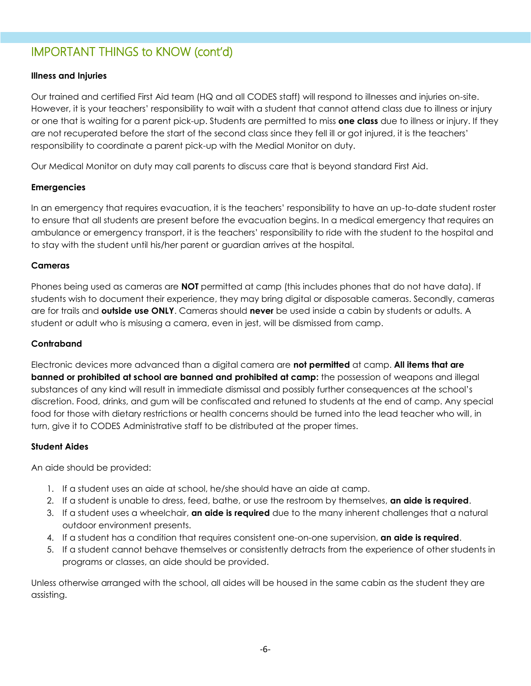# IMPORTANT THINGS to KNOW (cont'd)

#### **Illness and Injuries**

Our trained and certified First Aid team (HQ and all CODES staff) will respond to illnesses and injuries on-site. However, it is your teachers' responsibility to wait with a student that cannot attend class due to illness or injury or one that is waiting for a parent pick-up. Students are permitted to miss **one class** due to illness or injury. If they are not recuperated before the start of the second class since they fell ill or got injured, it is the teachers' responsibility to coordinate a parent pick-up with the Medial Monitor on duty.

Our Medical Monitor on duty may call parents to discuss care that is beyond standard First Aid.

#### **Emergencies**

In an emergency that requires evacuation, it is the teachers' responsibility to have an up-to-date student roster to ensure that all students are present before the evacuation begins. In a medical emergency that requires an ambulance or emergency transport, it is the teachers' responsibility to ride with the student to the hospital and to stay with the student until his/her parent or guardian arrives at the hospital.

#### **Cameras**

Phones being used as cameras are **NOT** permitted at camp (this includes phones that do not have data). If students wish to document their experience, they may bring digital or disposable cameras. Secondly, cameras are for trails and **outside use ONLY**. Cameras should **never** be used inside a cabin by students or adults. A student or adult who is misusing a camera, even in jest, will be dismissed from camp.

#### **Contraband**

Electronic devices more advanced than a digital camera are **not permitted** at camp. **All items that are banned or prohibited at school are banned and prohibited at camp:** the possession of weapons and illegal substances of any kind will result in immediate dismissal and possibly further consequences at the school's discretion. Food, drinks, and gum will be confiscated and retuned to students at the end of camp. Any special food for those with dietary restrictions or health concerns should be turned into the lead teacher who will, in turn, give it to CODES Administrative staff to be distributed at the proper times.

#### **Student Aides**

An aide should be provided:

- 1. If a student uses an aide at school, he/she should have an aide at camp.
- 2. If a student is unable to dress, feed, bathe, or use the restroom by themselves, **an aide is required**.
- 3. If a student uses a wheelchair, **an aide is required** due to the many inherent challenges that a natural outdoor environment presents.
- 4. If a student has a condition that requires consistent one-on-one supervision, **an aide is required**.
- 5. If a student cannot behave themselves or consistently detracts from the experience of other students in programs or classes, an aide should be provided.

Unless otherwise arranged with the school, all aides will be housed in the same cabin as the student they are assisting.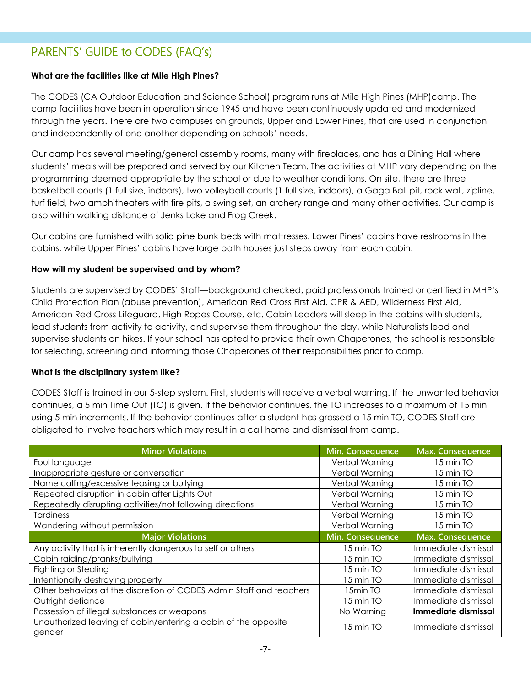# PARENTS' GUIDE to CODES (FAQ's)

#### **What are the facilities like at Mile High Pines?**

The CODES (CA Outdoor Education and Science School) program runs at Mile High Pines (MHP)camp. The camp facilities have been in operation since 1945 and have been continuously updated and modernized through the years. There are two campuses on grounds, Upper and Lower Pines, that are used in conjunction and independently of one another depending on schools' needs.

Our camp has several meeting/general assembly rooms, many with fireplaces, and has a Dining Hall where students' meals will be prepared and served by our Kitchen Team. The activities at MHP vary depending on the programming deemed appropriate by the school or due to weather conditions. On site, there are three basketball courts (1 full size, indoors), two volleyball courts (1 full size, indoors), a Gaga Ball pit, rock wall, zipline, turf field, two amphitheaters with fire pits, a swing set, an archery range and many other activities. Our camp is also within walking distance of Jenks Lake and Frog Creek.

Our cabins are furnished with solid pine bunk beds with mattresses. Lower Pines' cabins have restrooms in the cabins, while Upper Pines' cabins have large bath houses just steps away from each cabin.

#### **How will my student be supervised and by whom?**

Students are supervised by CODES' Staff—background checked, paid professionals trained or certified in MHP's Child Protection Plan (abuse prevention), American Red Cross First Aid, CPR & AED, Wilderness First Aid, American Red Cross Lifeguard, High Ropes Course, etc. Cabin Leaders will sleep in the cabins with students, lead students from activity to activity, and supervise them throughout the day, while Naturalists lead and supervise students on hikes. If your school has opted to provide their own Chaperones, the school is responsible for selecting, screening and informing those Chaperones of their responsibilities prior to camp.

#### **What is the disciplinary system like?**

CODES Staff is trained in our 5-step system. First, students will receive a verbal warning. If the unwanted behavior continues, a 5 min Time Out (TO) is given. If the behavior continues, the TO increases to a maximum of 15 min using 5 min increments. If the behavior continues after a student has grossed a 15 min TO, CODES Staff are obligated to involve teachers which may result in a call home and dismissal from camp.

| <b>Minor Violations</b>                                                  | Min. Consequence | <b>Max.</b> Consequence |
|--------------------------------------------------------------------------|------------------|-------------------------|
| Foul language                                                            | Verbal Warning   | 15 min TO               |
| Inappropriate gesture or conversation                                    | Verbal Warning   | 15 min TO               |
| Name calling/excessive teasing or bullying                               | Verbal Warning   | 15 min TO               |
| Repeated disruption in cabin after Lights Out                            | Verbal Warning   | 15 min TO               |
| Repeatedly disrupting activities/not following directions                | Verbal Warning   | 15 min TO               |
| Tardiness                                                                | Verbal Warning   | 15 min TO               |
| Wandering without permission                                             | Verbal Warning   | 15 min TO               |
| <b>Major Violations</b>                                                  | Min. Consequence | Max. Consequence        |
| Any activity that is inherently dangerous to self or others              | 15 min TO        | Immediate dismissal     |
| Cabin raiding/pranks/bullying                                            | 15 min TO        | Immediate dismissal     |
| <b>Fighting or Stealing</b>                                              | 15 min TO        | Immediate dismissal     |
| Intentionally destroying property                                        | 15 min TO        | Immediate dismissal     |
| Other behaviors at the discretion of CODES Admin Staff and teachers      | 15min TO         | Immediate dismissal     |
| Outright defiance                                                        | 15 min TO        | Immediate dismissal     |
| Possession of illegal substances or weapons                              | No Warning       | Immediate dismissal     |
| Unauthorized leaving of cabin/entering a cabin of the opposite<br>gender | 15 min TO        | Immediate dismissal     |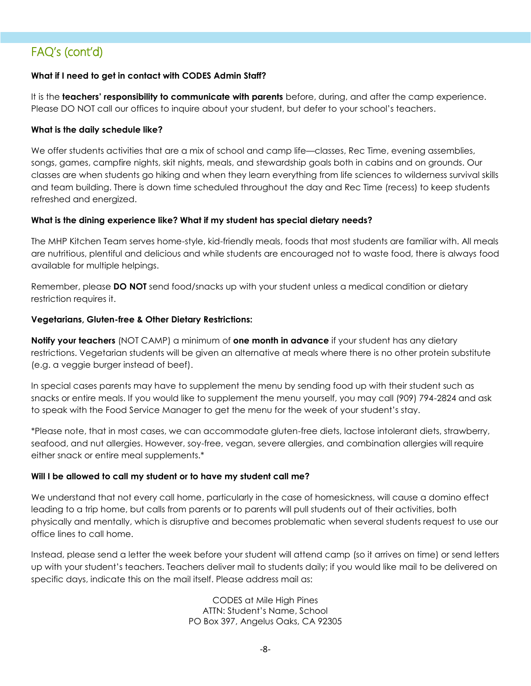#### **What if I need to get in contact with CODES Admin Staff?**

It is the **teachers' responsibility to communicate with parents** before, during, and after the camp experience. Please DO NOT call our offices to inquire about your student, but defer to your school's teachers.

#### **What is the daily schedule like?**

We offer students activities that are a mix of school and camp life—classes, Rec Time, evening assemblies, songs, games, campfire nights, skit nights, meals, and stewardship goals both in cabins and on grounds. Our classes are when students go hiking and when they learn everything from life sciences to wilderness survival skills and team building. There is down time scheduled throughout the day and Rec Time (recess) to keep students refreshed and energized.

#### **What is the dining experience like? What if my student has special dietary needs?**

The MHP Kitchen Team serves home-style, kid-friendly meals, foods that most students are familiar with. All meals are nutritious, plentiful and delicious and while students are encouraged not to waste food, there is always food available for multiple helpings.

Remember, please **DO NOT** send food/snacks up with your student unless a medical condition or dietary restriction requires it.

#### **Vegetarians, Gluten-free & Other Dietary Restrictions:**

**Notify your teachers** (NOT CAMP) a minimum of **one month in advance** if your student has any dietary restrictions. Vegetarian students will be given an alternative at meals where there is no other protein substitute (e.g. a veggie burger instead of beef).

In special cases parents may have to supplement the menu by sending food up with their student such as snacks or entire meals. If you would like to supplement the menu yourself, you may call (909) 794-2824 and ask to speak with the Food Service Manager to get the menu for the week of your student's stay.

\*Please note, that in most cases, we can accommodate gluten-free diets, lactose intolerant diets, strawberry, seafood, and nut allergies. However, soy-free, vegan, severe allergies, and combination allergies will require either snack or entire meal supplements.\*

#### **Will I be allowed to call my student or to have my student call me?**

We understand that not every call home, particularly in the case of homesickness, will cause a domino effect leading to a trip home, but calls from parents or to parents will pull students out of their activities, both physically and mentally, which is disruptive and becomes problematic when several students request to use our office lines to call home.

Instead, please send a letter the week before your student will attend camp (so it arrives on time) or send letters up with your student's teachers. Teachers deliver mail to students daily; if you would like mail to be delivered on specific days, indicate this on the mail itself. Please address mail as:

> CODES at Mile High Pines ATTN: Student's Name, School PO Box 397, Angelus Oaks, CA 92305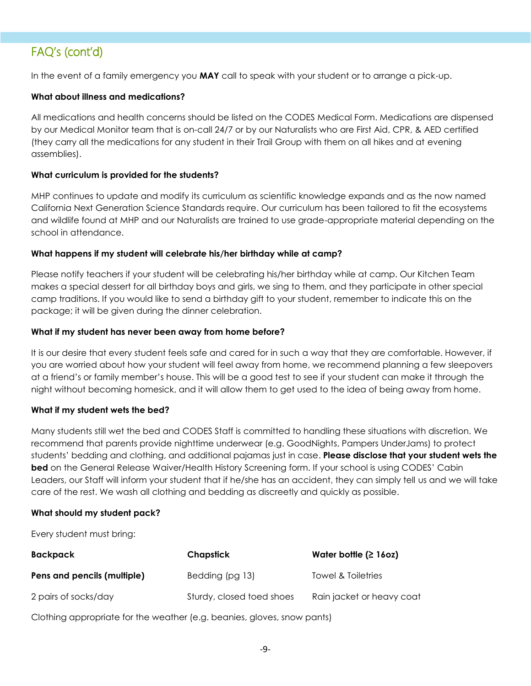In the event of a family emergency you **MAY** call to speak with your student or to arrange a pick-up.

#### **What about illness and medications?**

All medications and health concerns should be listed on the CODES Medical Form. Medications are dispensed by our Medical Monitor team that is on-call 24/7 or by our Naturalists who are First Aid, CPR, & AED certified (they carry all the medications for any student in their Trail Group with them on all hikes and at evening assemblies).

#### **What curriculum is provided for the students?**

MHP continues to update and modify its curriculum as scientific knowledge expands and as the now named California Next Generation Science Standards require. Our curriculum has been tailored to fit the ecosystems and wildlife found at MHP and our Naturalists are trained to use grade-appropriate material depending on the school in attendance.

#### **What happens if my student will celebrate his/her birthday while at camp?**

Please notify teachers if your student will be celebrating his/her birthday while at camp. Our Kitchen Team makes a special dessert for all birthday boys and girls, we sing to them, and they participate in other special camp traditions. If you would like to send a birthday gift to your student, remember to indicate this on the package; it will be given during the dinner celebration.

#### **What if my student has never been away from home before?**

It is our desire that every student feels safe and cared for in such a way that they are comfortable. However, if you are worried about how your student will feel away from home, we recommend planning a few sleepovers at a friend's or family member's house. This will be a good test to see if your student can make it through the night without becoming homesick, and it will allow them to get used to the idea of being away from home.

#### **What if my student wets the bed?**

Many students still wet the bed and CODES Staff is committed to handling these situations with discretion. We recommend that parents provide nighttime underwear (e.g. GoodNights, Pampers UnderJams) to protect students' bedding and clothing, and additional pajamas just in case. **Please disclose that your student wets the bed** on the General Release Waiver/Health History Screening form. If your school is using CODES' Cabin Leaders, our Staff will inform your student that if he/she has an accident, they can simply tell us and we will take care of the rest. We wash all clothing and bedding as discreetly and quickly as possible.

#### **What should my student pack?**

Every student must bring:

| Backpack                    | Chapstick                 | Water bottle $(2 16oz)$   |
|-----------------------------|---------------------------|---------------------------|
| Pens and pencils (multiple) | Bedding (pg 13)           | Towel & Toiletries        |
| 2 pairs of socks/day        | Sturdy, closed toed shoes | Rain jacket or heavy coat |

Clothing appropriate for the weather (e.g. beanies, gloves, snow pants)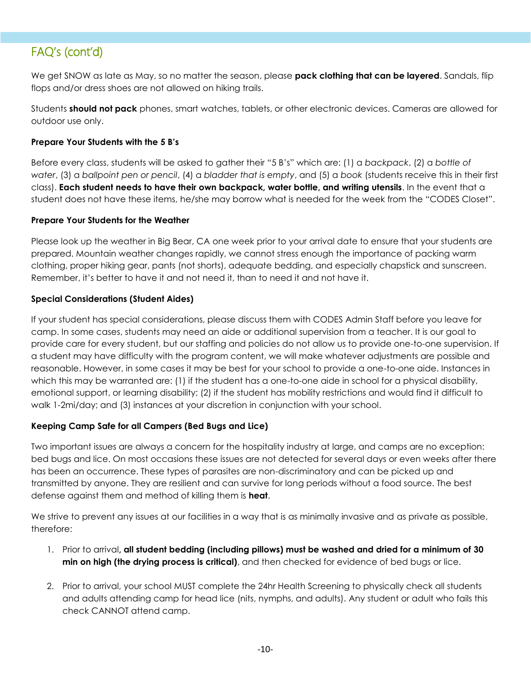We get SNOW as late as May, so no matter the season, please **pack clothing that can be layered**. Sandals, flip flops and/or dress shoes are not allowed on hiking trails.

Students **should not pack** phones, smart watches, tablets, or other electronic devices. Cameras are allowed for outdoor use only.

#### **Prepare Your Students with the 5 B's**

Before every class, students will be asked to gather their "5 B's" which are: (1) a *backpack*, (2) a *bottle of water*, (3) a *ballpoint pen or pencil*, (4) a *bladder that is empty*, and (5) a *book* (students receive this in their first class). **Each student needs to have their own backpack, water bottle, and writing utensils**. In the event that a student does not have these items, he/she may borrow what is needed for the week from the "CODES Closet".

#### **Prepare Your Students for the Weather**

Please look up the weather in Big Bear, CA one week prior to your arrival date to ensure that your students are prepared. Mountain weather changes rapidly, we cannot stress enough the importance of packing warm clothing, proper hiking gear, pants (not shorts), adequate bedding, and especially chapstick and sunscreen. Remember, it's better to have it and not need it, than to need it and not have it.

#### **Special Considerations (Student Aides)**

If your student has special considerations, please discuss them with CODES Admin Staff before you leave for camp. In some cases, students may need an aide or additional supervision from a teacher. It is our goal to provide care for every student, but our staffing and policies do not allow us to provide one-to-one supervision. If a student may have difficulty with the program content, we will make whatever adjustments are possible and reasonable. However, in some cases it may be best for your school to provide a one-to-one aide. Instances in which this may be warranted are: (1) if the student has a one-to-one aide in school for a physical disability, emotional support, or learning disability; (2) if the student has mobility restrictions and would find it difficult to walk 1-2mi/day; and (3) instances at your discretion in conjunction with your school.

#### **Keeping Camp Safe for all Campers (Bed Bugs and Lice)**

Two important issues are always a concern for the hospitality industry at large, and camps are no exception: bed bugs and lice. On most occasions these issues are not detected for several days or even weeks after there has been an occurrence. These types of parasites are non-discriminatory and can be picked up and transmitted by anyone. They are resilient and can survive for long periods without a food source. The best defense against them and method of killing them is **heat**.

We strive to prevent any issues at our facilities in a way that is as minimally invasive and as private as possible, therefore:

- 1. Prior to arrival**, all student bedding (including pillows) must be washed and dried for a minimum of 30 min on high (the drying process is critical)**, and then checked for evidence of bed bugs or lice.
- 2. Prior to arrival, your school MUST complete the 24hr Health Screening to physically check all students and adults attending camp for head lice (nits, nymphs, and adults). Any student or adult who fails this check CANNOT attend camp.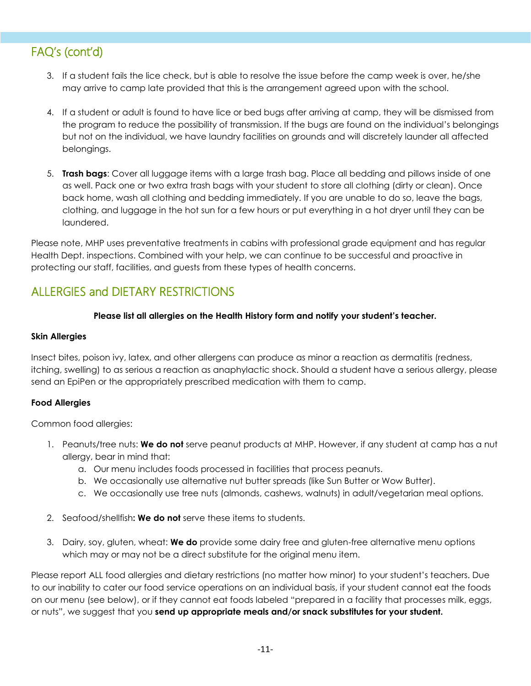- 3. If a student fails the lice check, but is able to resolve the issue before the camp week is over, he/she may arrive to camp late provided that this is the arrangement agreed upon with the school.
- 4. If a student or adult is found to have lice or bed bugs after arriving at camp, they will be dismissed from the program to reduce the possibility of transmission. If the bugs are found on the individual's belongings but not on the individual, we have laundry facilities on grounds and will discretely launder all affected belongings.
- 5. **Trash bags**: Cover all luggage items with a large trash bag. Place all bedding and pillows inside of one as well. Pack one or two extra trash bags with your student to store all clothing (dirty or clean). Once back home, wash all clothing and bedding immediately. If you are unable to do so, leave the bags, clothing, and luggage in the hot sun for a few hours or put everything in a hot dryer until they can be laundered.

Please note, MHP uses preventative treatments in cabins with professional grade equipment and has regular Health Dept. inspections. Combined with your help, we can continue to be successful and proactive in protecting our staff, facilities, and guests from these types of health concerns.

# ALLERGIES and DIETARY RESTRICTIONS

#### **Please list all allergies on the Health History form and notify your student's teacher.**

#### **Skin Allergies**

Insect bites, poison ivy, latex, and other allergens can produce as minor a reaction as dermatitis (redness, itching, swelling) to as serious a reaction as anaphylactic shock. Should a student have a serious allergy, please send an EpiPen or the appropriately prescribed medication with them to camp.

#### **Food Allergies**

Common food allergies:

- 1. Peanuts/tree nuts: **We do not** serve peanut products at MHP. However, if any student at camp has a nut allergy, bear in mind that:
	- a. Our menu includes foods processed in facilities that process peanuts.
	- b. We occasionally use alternative nut butter spreads (like Sun Butter or Wow Butter).
	- c. We occasionally use tree nuts (almonds, cashews, walnuts) in adult/vegetarian meal options.
- 2. Seafood/shellfish**: We do not** serve these items to students.
- 3. Dairy, soy, gluten, wheat: **We do** provide some dairy free and gluten-free alternative menu options which may or may not be a direct substitute for the original menu item.

Please report ALL food allergies and dietary restrictions (no matter how minor) to your student's teachers. Due to our inability to cater our food service operations on an individual basis, if your student cannot eat the foods on our menu (see below), or if they cannot eat foods labeled "prepared in a facility that processes milk, eggs, or nuts", we suggest that you **send up appropriate meals and/or snack substitutes for your student.**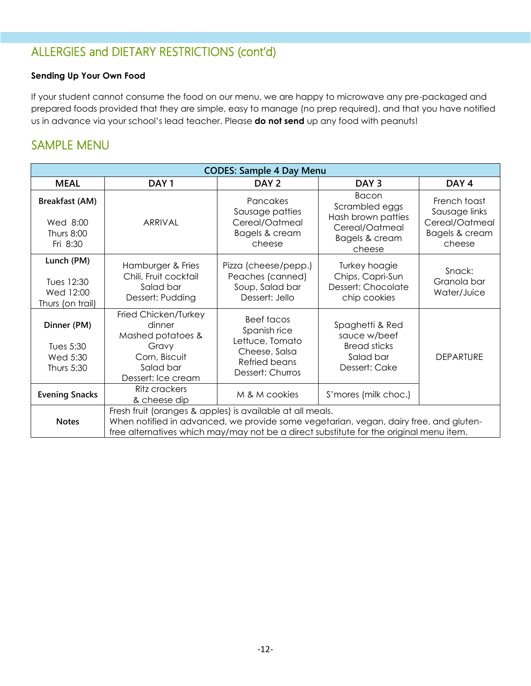# ALLERGIES and DIETARY RESTRICTIONS (cont'd)

#### **Sending Up Your Own Food**

If your student cannot consume the food on our menu, we are happy to microwave any pre-packaged and prepared foods provided that they are simple, easy to manage (no prep required), and that you have notified us in advance via your school's lead teacher. Please **do not send** up any food with peanuts!

### SAMPLE MENU

| <b>CODES: Sample 4 Day Menu</b>                                    |                                                                                                                                                                                                                                              |                                                                                                            |                                                                                             |                                                                             |
|--------------------------------------------------------------------|----------------------------------------------------------------------------------------------------------------------------------------------------------------------------------------------------------------------------------------------|------------------------------------------------------------------------------------------------------------|---------------------------------------------------------------------------------------------|-----------------------------------------------------------------------------|
| <b>MEAL</b>                                                        | DAY <sub>1</sub>                                                                                                                                                                                                                             | DAY <sub>2</sub>                                                                                           | DAY <sub>3</sub>                                                                            | DAY <sub>4</sub>                                                            |
| <b>Breakfast (AM)</b><br>Wed 8:00<br><b>Thurs 8:00</b><br>Fri 8:30 | <b>ARRIVAL</b>                                                                                                                                                                                                                               | Pancakes<br>Sausage patties<br>Cereal/Oatmeal<br>Bagels & cream<br>cheese                                  | Bacon<br>Scrambled eggs<br>Hash brown patties<br>Cereal/Oatmeal<br>Bagels & cream<br>cheese | French toast<br>Sausage links<br>Cereal/Oatmeal<br>Bagels & cream<br>cheese |
| Lunch (PM)<br>Tues 12:30<br>Wed 12:00<br>Thurs (on trail)          | Hamburger & Fries<br>Chili, Fruit cocktail<br>Salad bar<br>Dessert: Pudding                                                                                                                                                                  | Pizza (cheese/pepp.)<br>Peaches (canned)<br>Soup, Salad bar<br>Dessert: Jello                              | Turkey hoagie<br>Chips, Capri-Sun<br>Dessert: Chocolate<br>chip cookies                     | Snack:<br>Granola bar<br>Water/Juice                                        |
| Dinner (PM)<br>Tues 5:30<br>Wed 5:30<br>Thurs 5:30                 | Fried Chicken/Turkey<br>dinner<br>Mashed potatoes &<br>Gravy<br>Corn, Biscuit<br>Salad bar<br>Dessert: Ice cream                                                                                                                             | <b>Beef tacos</b><br>Spanish rice<br>Lettuce, Tomato<br>Cheese, Salsa<br>Refried beans<br>Dessert: Churros | Spaghetti & Red<br>sauce w/beef<br><b>Bread sticks</b><br>Salad bar<br>Dessert: Cake        | <b>DEPARTURE</b>                                                            |
| <b>Evening Snacks</b>                                              | Ritz crackers<br>& cheese dip                                                                                                                                                                                                                | M & M cookies                                                                                              | S'mores (milk choc.)                                                                        |                                                                             |
| <b>Notes</b>                                                       | Fresh fruit (oranges & apples) is available at all meals.<br>When notified in advanced, we provide some vegetarian, vegan, dairy free, and gluten-<br>free alternatives which may/may not be a direct substitute for the original menu item. |                                                                                                            |                                                                                             |                                                                             |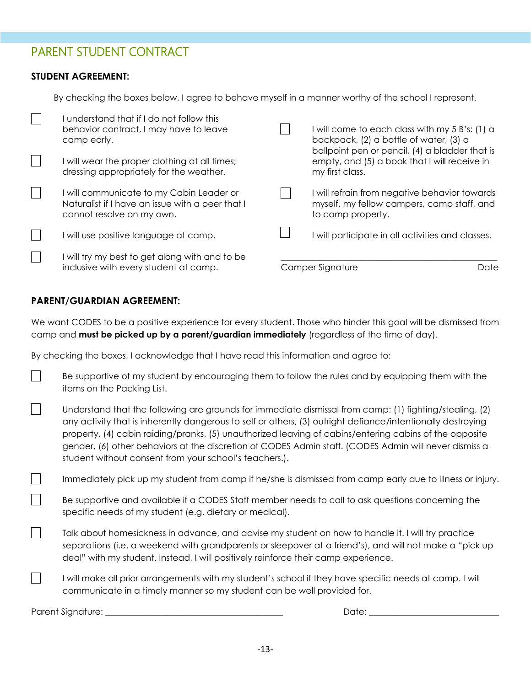### PARENT STUDENT CONTRACT

#### **STUDENT AGREEMENT:**

By checking the boxes below, I agree to behave myself in a manner worthy of the school I represent.

| I understand that if I do not follow this<br>behavior contract, I may have to leave<br>camp early.<br>will wear the proper clothing at all times;<br>dressing appropriately for the weather. | I will come to each class with my 5 B's: (1) a<br>backpack, (2) a bottle of water, (3) a<br>ballpoint pen or pencil, (4) a bladder that is<br>empty, and (5) a book that I will receive in<br>my first class. |
|----------------------------------------------------------------------------------------------------------------------------------------------------------------------------------------------|---------------------------------------------------------------------------------------------------------------------------------------------------------------------------------------------------------------|
| I will communicate to my Cabin Leader or<br>Naturalist if I have an issue with a peer that I<br>cannot resolve on my own.                                                                    | I will refrain from negative behavior towards<br>myself, my fellow campers, camp staff, and<br>to camp property.                                                                                              |
| will use positive language at camp.                                                                                                                                                          | will participate in all activities and classes.                                                                                                                                                               |
| will try my best to get along with and to be<br>inclusive with every student at camp.                                                                                                        | Camper Signature<br>Date                                                                                                                                                                                      |

#### **PARENT/GUARDIAN AGREEMENT:**

We want CODES to be a positive experience for every student. Those who hinder this goal will be dismissed from camp and **must be picked up by a parent/guardian immediately** (regardless of the time of day).

By checking the boxes, I acknowledge that I have read this information and agree to:

- Be supportive of my student by encouraging them to follow the rules and by equipping them with the items on the Packing List.
- $\vert \ \ \vert$ Understand that the following are grounds for immediate dismissal from camp: (1) fighting/stealing, (2) any activity that is inherently dangerous to self or others, (3) outright defiance/intentionally destroying property, (4) cabin raiding/pranks, (5) unauthorized leaving of cabins/entering cabins of the opposite gender, (6) other behaviors at the discretion of CODES Admin staff. (CODES Admin will never dismiss a student without consent from your school's teachers.).
- $\Box$ Immediately pick up my student from camp if he/she is dismissed from camp early due to illness or injury.
	- Be supportive and available if a CODES Staff member needs to call to ask questions concerning the specific needs of my student (e.g. dietary or medical).
	- Talk about homesickness in advance, and advise my student on how to handle it. I will try practice separations (i.e. a weekend with grandparents or sleepover at a friend's), and will not make a "pick up deal" with my student. Instead, I will positively reinforce their camp experience.
	- I will make all prior arrangements with my student's school if they have specific needs at camp. I will communicate in a timely manner so my student can be well provided for.

Parent Signature: \_\_\_\_\_\_\_\_\_\_\_\_\_\_\_\_\_\_\_\_\_\_\_\_\_\_\_\_\_\_\_\_\_\_\_\_\_\_\_\_\_ Date: \_\_\_\_\_\_\_\_\_\_\_\_\_\_\_\_\_\_\_\_\_\_\_\_\_\_\_\_\_\_